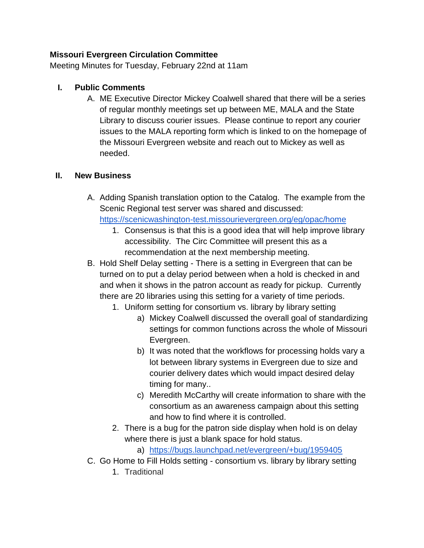### **Missouri Evergreen Circulation Committee**

Meeting Minutes for Tuesday, February 22nd at 11am

## **I. Public Comments**

A. ME Executive Director Mickey Coalwell shared that there will be a series of regular monthly meetings set up between ME, MALA and the State Library to discuss courier issues. Please continue to report any courier issues to the MALA reporting form which is linked to on the homepage of the Missouri Evergreen website and reach out to Mickey as well as needed.

## **II. New Business**

- A. Adding Spanish translation option to the Catalog. The example from the Scenic Regional test server was shared and discussed: <https://scenicwashington-test.missourievergreen.org/eg/opac/home>
	- 1. Consensus is that this is a good idea that will help improve library accessibility. The Circ Committee will present this as a recommendation at the next membership meeting.
- B. Hold Shelf Delay setting There is a setting in Evergreen that can be turned on to put a delay period between when a hold is checked in and and when it shows in the patron account as ready for pickup. Currently there are 20 libraries using this setting for a variety of time periods.
	- 1. Uniform setting for consortium vs. library by library setting
		- a) Mickey Coalwell discussed the overall goal of standardizing settings for common functions across the whole of Missouri Evergreen.
		- b) It was noted that the workflows for processing holds vary a lot between library systems in Evergreen due to size and courier delivery dates which would impact desired delay timing for many..
		- c) Meredith McCarthy will create information to share with the consortium as an awareness campaign about this setting and how to find where it is controlled.
	- 2. There is a bug for the patron side display when hold is on delay where there is just a blank space for hold status.
		- a) <https://bugs.launchpad.net/evergreen/+bug/1959405>
- C. Go Home to Fill Holds setting consortium vs. library by library setting
	- 1. Traditional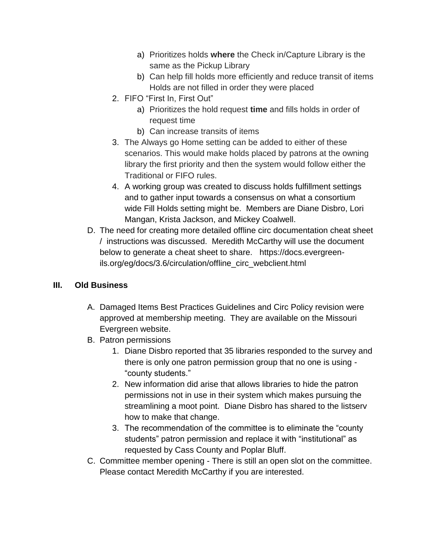- a) Prioritizes holds **where** the Check in/Capture Library is the same as the Pickup Library
- b) Can help fill holds more efficiently and reduce transit of items Holds are not filled in order they were placed
- 2. FIFO "First In, First Out"
	- a) Prioritizes the hold request **time** and fills holds in order of request time
	- b) Can increase transits of items
- 3. The Always go Home setting can be added to either of these scenarios. This would make holds placed by patrons at the owning library the first priority and then the system would follow either the Traditional or FIFO rules.
- 4. A working group was created to discuss holds fulfillment settings and to gather input towards a consensus on what a consortium wide Fill Holds setting might be. Members are Diane Disbro, Lori Mangan, Krista Jackson, and Mickey Coalwell.
- D. The need for creating more detailed offline circ documentation cheat sheet / instructions was discussed. Meredith McCarthy will use the document below to generate a cheat sheet to share. https://docs.evergreenils.org/eg/docs/3.6/circulation/offline\_circ\_webclient.html

# **III. Old Business**

- A. Damaged Items Best Practices Guidelines and Circ Policy revision were approved at membership meeting. They are available on the Missouri Evergreen website.
- B. Patron permissions
	- 1. Diane Disbro reported that 35 libraries responded to the survey and there is only one patron permission group that no one is using - "county students."
	- 2. New information did arise that allows libraries to hide the patron permissions not in use in their system which makes pursuing the streamlining a moot point. Diane Disbro has shared to the listserv how to make that change.
	- 3. The recommendation of the committee is to eliminate the "county students" patron permission and replace it with "institutional" as requested by Cass County and Poplar Bluff.
- C. Committee member opening There is still an open slot on the committee. Please contact Meredith McCarthy if you are interested.